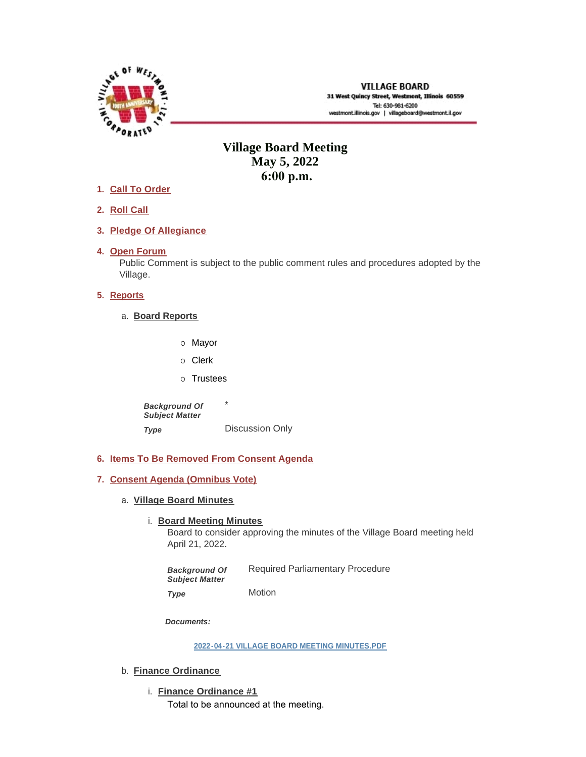

# **Village Board Meeting May 5, 2022 6:00 p.m.**

- **Call To Order 1.**
- **Roll Call 2.**
- **Pledge Of Allegiance 3.**
- 4. Open Forum

Public Comment is subject to the public comment rules and procedures adopted by the Village.

# **5.** Reports

- **Board Reports** a.
	- o Mayor
	- o Clerk
	- o Trustees

\* Discussion Only *Background Of Subject Matter Type* 

- **Items To Be Removed From Consent Agenda 6.**
- **Consent Agenda (Omnibus Vote) 7.**
	- **Village Board Minutes** a.
		- **Board Meeting Minutes**

Board to consider approving the minutes of the Village Board meeting held April 21, 2022.

Required Parliamentary Procedure Motion *Background Of Subject Matter Type* 

*Documents:*

**[2022-04-21 VILLAGE BOARD MEETING MINUTES.PDF](https://westmont.illinois.gov/AgendaCenter/ViewFile/Item/8640?fileID=12989)**

- b. **Finance Ordinance** 
	- **Finance Ordinance #1** i. Total to be announced at the meeting.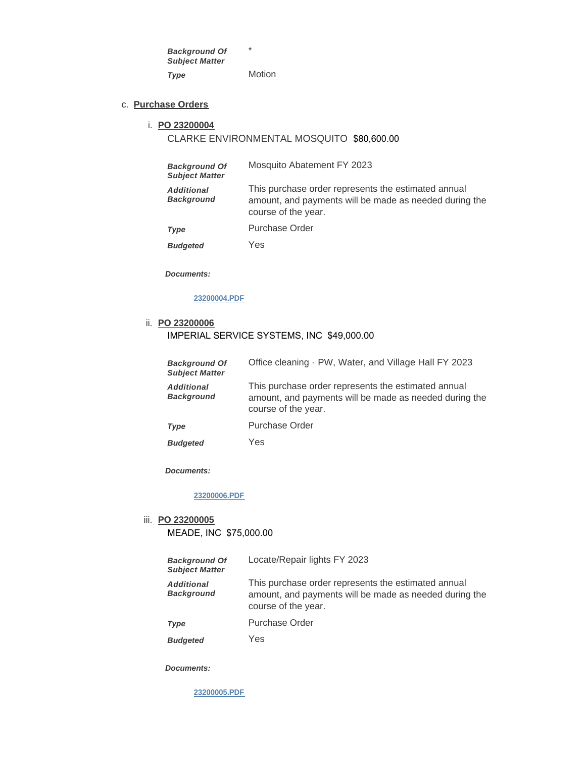\* Motion *Background Of Subject Matter Type* 

**Purchase Orders** c.

#### **PO 23200004** i.

# CLARKE ENVIRONMENTAL MOSQUITO \$80,600.00

| <b>Background Of</b><br><b>Subject Matter</b> | Mosquito Abatement FY 2023                                                                                                           |
|-----------------------------------------------|--------------------------------------------------------------------------------------------------------------------------------------|
| <b>Additional</b><br><b>Background</b>        | This purchase order represents the estimated annual<br>amount, and payments will be made as needed during the<br>course of the year. |
| Type                                          | <b>Purchase Order</b>                                                                                                                |
| <b>Budgeted</b>                               | Yes                                                                                                                                  |

*Documents:*

### **[23200004.PDF](https://westmont.illinois.gov/AgendaCenter/ViewFile/Item/8645?fileID=12990)**

#### **PO 23200006** ii.

## IMPERIAL SERVICE SYSTEMS, INC \$49,000.00

| <b>Background Of</b><br><b>Subject Matter</b> | Office cleaning - PW, Water, and Village Hall FY 2023                                                                                |
|-----------------------------------------------|--------------------------------------------------------------------------------------------------------------------------------------|
| <b>Additional</b><br><b>Background</b>        | This purchase order represents the estimated annual<br>amount, and payments will be made as needed during the<br>course of the year. |
| Type                                          | Purchase Order                                                                                                                       |
| <b>Budgeted</b>                               | Yes                                                                                                                                  |

*Documents:*

### **[23200006.PDF](https://westmont.illinois.gov/AgendaCenter/ViewFile/Item/8647?fileID=12992)**

### **PO 23200005** iii.

MEADE, INC \$75,000.00

| <b>Background Of</b><br><b>Subject Matter</b> | Locate/Repair lights FY 2023                                                                                                         |
|-----------------------------------------------|--------------------------------------------------------------------------------------------------------------------------------------|
| <b>Additional</b><br><b>Background</b>        | This purchase order represents the estimated annual<br>amount, and payments will be made as needed during the<br>course of the year. |
| Type                                          | Purchase Order                                                                                                                       |

Yes *Budgeted* 

*Documents:*

**[23200005.PDF](https://westmont.illinois.gov/AgendaCenter/ViewFile/Item/8646?fileID=12991)**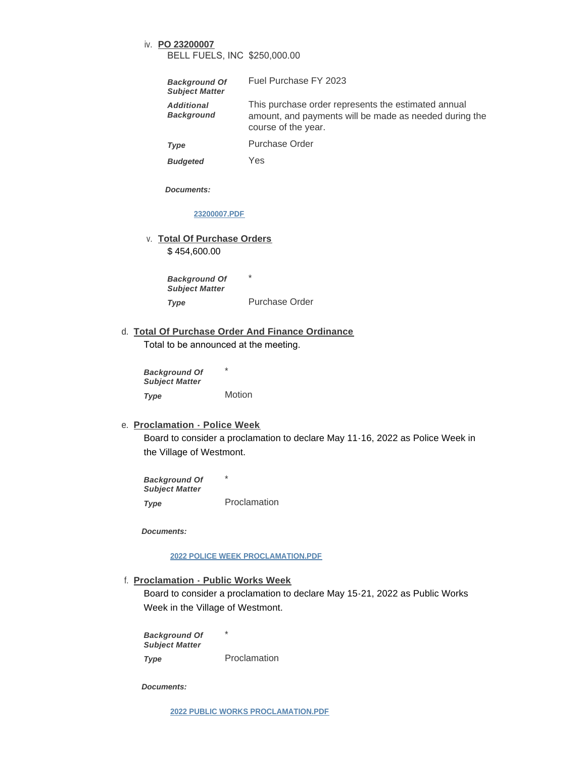# **PO 23200007** iv. BELL FUELS, INC \$250,000.00

| <b>Background Of</b><br><b>Subject Matter</b> | Fuel Purchase FY 2023                                                                                                                |
|-----------------------------------------------|--------------------------------------------------------------------------------------------------------------------------------------|
| <b>Additional</b><br><b>Background</b>        | This purchase order represents the estimated annual<br>amount, and payments will be made as needed during the<br>course of the year. |
| Type                                          | Purchase Order                                                                                                                       |

Yes *Budgeted* 

*Documents:*

#### **[23200007.PDF](https://westmont.illinois.gov/AgendaCenter/ViewFile/Item/8648?fileID=12993)**

**Total Of Purchase Orders** v.

\$ 454,600.00

\* Purchase Order *Background Of Subject Matter Type* 

**Total Of Purchase Order And Finance Ordinance** d. Total to be announced at the meeting.

\* Motion *Background Of Subject Matter Type* 

### **Proclamation - Police Week** e.

Board to consider a proclamation to declare May 11-16, 2022 as Police Week in the Village of Westmont.

\* Proclamation *Background Of Subject Matter Type* 

*Documents:*

#### **[2022 POLICE WEEK PROCLAMATION.PDF](https://westmont.illinois.gov/AgendaCenter/ViewFile/Item/8635?fileID=12978)**

# **Proclamation - Public Works Week** f.

Board to consider a proclamation to declare May 15-21, 2022 as Public Works Week in the Village of Westmont.

\* *Background Of Subject Matter Type* 

Proclamation

*Documents:*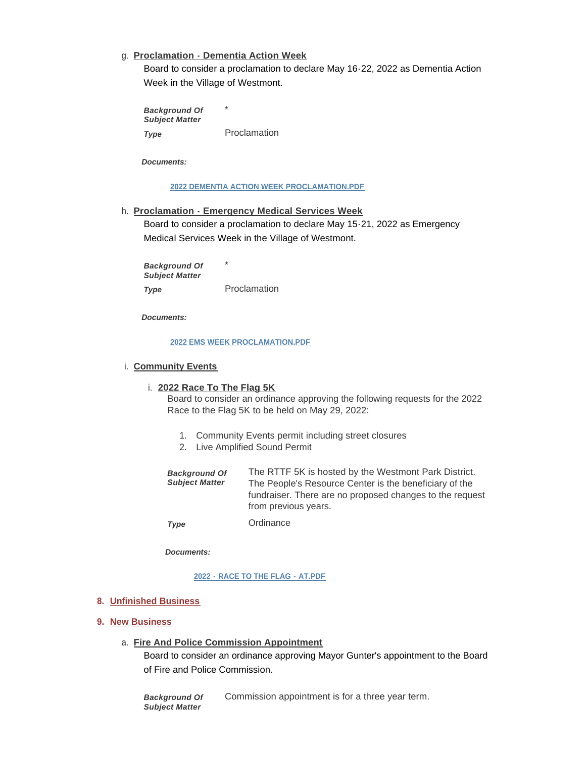## **Proclamation - Dementia Action Week** g.

Board to consider a proclamation to declare May 16-22, 2022 as Dementia Action Week in the Village of Westmont.

\* Proclamation *Background Of Subject Matter Type* 

*Documents:*

### **[2022 DEMENTIA ACTION WEEK PROCLAMATION.PDF](https://westmont.illinois.gov/AgendaCenter/ViewFile/Item/8637?fileID=12980)**

### **Proclamation - Emergency Medical Services Week** h.

Board to consider a proclamation to declare May 15-21, 2022 as Emergency Medical Services Week in the Village of Westmont.

\* Proclamation *Background Of Subject Matter Type* 

*Documents:*

#### **[2022 EMS WEEK PROCLAMATION.PDF](https://westmont.illinois.gov/AgendaCenter/ViewFile/Item/8636?fileID=12979)**

### **Community Events** i.

#### **2022 Race To The Flag 5K** i.

Board to consider an ordinance approving the following requests for the 2022 Race to the Flag 5K to be held on May 29, 2022:

- 1. Community Events permit including street closures
- 2. Live Amplified Sound Permit

| <b>Background Of</b><br><b>Subject Matter</b> | The RTTF 5K is hosted by the Westmont Park District.<br>The People's Resource Center is the beneficiary of the<br>fundraiser. There are no proposed changes to the request<br>from previous years. |
|-----------------------------------------------|----------------------------------------------------------------------------------------------------------------------------------------------------------------------------------------------------|
| Tvna                                          | Ordinance                                                                                                                                                                                          |

*Type* 

*Documents:*

#### **[2022 - RACE TO THE FLAG - AT.PDF](https://westmont.illinois.gov/AgendaCenter/ViewFile/Item/8649?fileID=12994)**

### **Unfinished Business 8.**

### **New Business 9.**

### **Fire And Police Commission Appointment** a.

Board to consider an ordinance approving Mayor Gunter's appointment to the Board of Fire and Police Commission.

Commission appointment is for a three year term. *Background Of Subject Matter*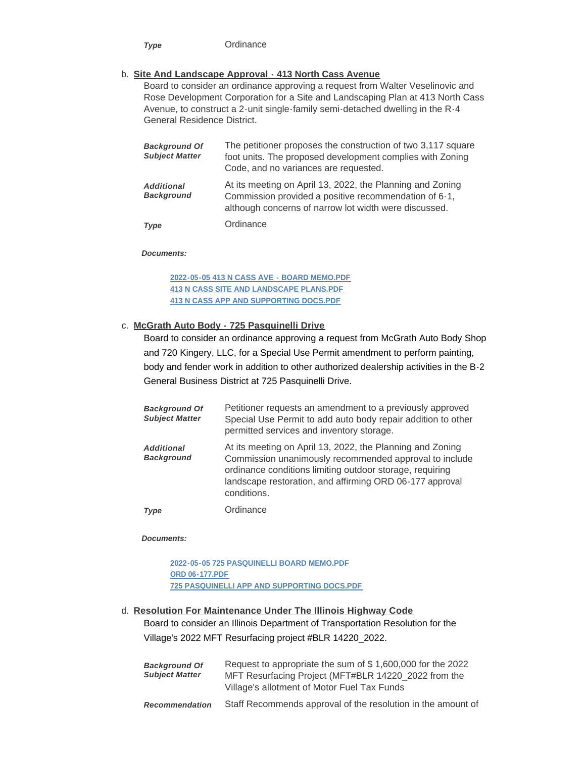**Ordinance** *Type* 

### **Site And Landscape Approval - 413 North Cass Avenue** b.

Board to consider an ordinance approving a request from Walter Veselinovic and Rose Development Corporation for a Site and Landscaping Plan at 413 North Cass Avenue, to construct a 2-unit single-family semi-detached dwelling in the R-4 General Residence District.

| <b>Background Of</b><br><b>Subject Matter</b> | The petitioner proposes the construction of two 3,117 square<br>foot units. The proposed development complies with Zoning<br>Code, and no variances are requested.          |
|-----------------------------------------------|-----------------------------------------------------------------------------------------------------------------------------------------------------------------------------|
| Additional<br><b>Background</b>               | At its meeting on April 13, 2022, the Planning and Zoning<br>Commission provided a positive recommendation of 6-1,<br>although concerns of narrow lot width were discussed. |
| Type                                          | Ordinance                                                                                                                                                                   |

*Documents:*

**[2022-05-05 413 N CASS AVE - BOARD MEMO.PDF](https://westmont.illinois.gov/AgendaCenter/ViewFile/Item/8618?fileID=12975) [413 N CASS SITE AND LANDSCAPE PLANS.PDF](https://westmont.illinois.gov/AgendaCenter/ViewFile/Item/8618?fileID=12976) [413 N CASS APP AND SUPPORTING DOCS.PDF](https://westmont.illinois.gov/AgendaCenter/ViewFile/Item/8618?fileID=12977)**

#### **McGrath Auto Body - 725 Pasquinelli Drive** c.

Board to consider an ordinance approving a request from McGrath Auto Body Shop and 720 Kingery, LLC, for a Special Use Permit amendment to perform painting, body and fender work in addition to other authorized dealership activities in the B-2 General Business District at 725 Pasquinelli Drive.

| <b>Background Of</b><br><b>Subject Matter</b> | Petitioner requests an amendment to a previously approved<br>Special Use Permit to add auto body repair addition to other<br>permitted services and inventory storage.                                                                                     |
|-----------------------------------------------|------------------------------------------------------------------------------------------------------------------------------------------------------------------------------------------------------------------------------------------------------------|
| <b>Additional</b><br><b>Background</b>        | At its meeting on April 13, 2022, the Planning and Zoning<br>Commission unanimously recommended approval to include<br>ordinance conditions limiting outdoor storage, requiring<br>landscape restoration, and affirming ORD 06-177 approval<br>conditions. |
| Type                                          | Ordinance                                                                                                                                                                                                                                                  |

*Documents:*

**[2022-05-05 725 PASQUINELLI BOARD MEMO.PDF](https://westmont.illinois.gov/AgendaCenter/ViewFile/Item/8617?fileID=12972) [ORD 06-177.PDF](https://westmont.illinois.gov/AgendaCenter/ViewFile/Item/8617?fileID=12973) [725 PASQUINELLI APP AND SUPPORTING DOCS.PDF](https://westmont.illinois.gov/AgendaCenter/ViewFile/Item/8617?fileID=12974)**

# **Resolution For Maintenance Under The Illinois Highway Code**  d. Board to consider an Illinois Department of Transportation Resolution for the

Village's 2022 MFT Resurfacing project #BLR 14220\_2022.

| <b>Background Of</b><br><b>Subject Matter</b> | Request to appropriate the sum of \$1,600,000 for the 2022<br>MFT Resurfacing Project (MFT#BLR 14220_2022 from the<br>Village's allotment of Motor Fuel Tax Funds |
|-----------------------------------------------|-------------------------------------------------------------------------------------------------------------------------------------------------------------------|
| <b>Recommendation</b>                         | Staff Recommends approval of the resolution in the amount of                                                                                                      |